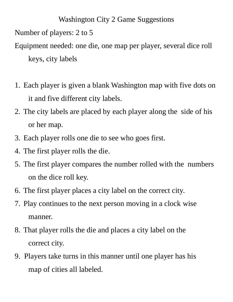Washington City 2 Game Suggestions Number of players: 2 to 5 Equipment needed: one die, one map per player, several dice roll keys, city labels

- 1. Each player is given a blank Washington map with five dots on it and five different city labels.
- 2. The city labels are placed by each player along the side of his or her map.
- 3. Each player rolls one die to see who goes first.
- 4. The first player rolls the die.
- 5. The first player compares the number rolled with the numbers on the dice roll key.
- 6. The first player places a city label on the correct city.
- 7. Play continues to the next person moving in a clock wise manner.
- 8. That player rolls the die and places a city label on the correct city.
- 9. Players take turns in this manner until one player has his map of cities all labeled.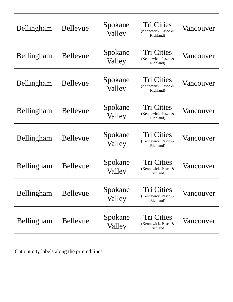| Bellingham | <b>Bellevue</b> | Spokane<br>Valley | <b>Tri Cities</b><br>(Kennewick, Pasco &<br>Richland) | Vancouver |
|------------|-----------------|-------------------|-------------------------------------------------------|-----------|
| Bellingham | <b>Bellevue</b> | Spokane<br>Valley | <b>Tri Cities</b><br>(Kennewick, Pasco &<br>Richland) | Vancouver |
| Bellingham | <b>Bellevue</b> | Spokane<br>Valley | <b>Tri Cities</b><br>(Kennewick, Pasco &<br>Richland) | Vancouver |
| Bellingham | <b>Bellevue</b> | Spokane<br>Valley | <b>Tri Cities</b><br>(Kennewick, Pasco &<br>Richland) | Vancouver |
| Bellingham | <b>Bellevue</b> | Spokane<br>Valley | <b>Tri Cities</b><br>(Kennewick, Pasco &<br>Richland) | Vancouver |
| Bellingham | <b>Bellevue</b> | Spokane<br>Valley | Tri Cities<br>(Kennewick, Pasco &<br>Richland)        | Vancouver |
| Bellingham | <b>Bellevue</b> | Spokane<br>Valley | Tri Cities<br>(Kennewick, Pasco &<br>Richland)        | Vancouver |
| Bellingham | <b>Bellevue</b> | Spokane<br>Valley | Tri Cities<br>(Kennewick, Pasco &<br>Richland)        | Vancouver |

Cut out city labels along the printed lines.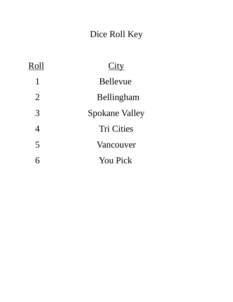## Dice Roll Key

| Roll           | City                  |  |  |
|----------------|-----------------------|--|--|
| $\mathbf{1}$   | <b>Bellevue</b>       |  |  |
| $\overline{2}$ | Bellingham            |  |  |
| 3              | <b>Spokane Valley</b> |  |  |
| $\overline{4}$ | <b>Tri Cities</b>     |  |  |
| 5              | Vancouver             |  |  |
| 6              | <b>You Pick</b>       |  |  |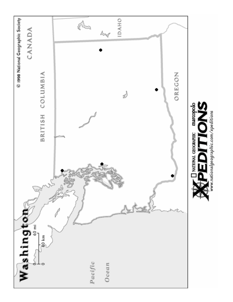